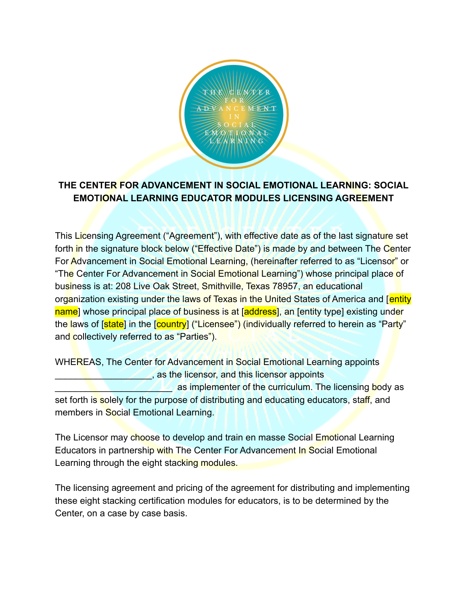

# **THE CENTER FOR ADVANCEMENT IN SOCIAL EMOTIONAL LEARNING: SOCIAL EMOTIONAL LEARNING EDUCATOR MODULES LICENSING AGREEMENT**

This Licensing Agreement ("Agreement"), with effective date as of the last signature set forth in the signature block below ("Effective Date") is made by and between The Center For Advancement in Social Emotional Learning, (hereinafter referred to as "Licensor" or "The Center For Advancement in Social Emotional Learning") whose principal place of business is at: 208 Live Oak Street, Smithville, Texas 78957, an educational organization existing under the laws of Texas in the United States of America and [entity] name] whose principal place of business is at [address], an [entity type] existing under the laws of [state] in the [country] ("Licensee") (individually referred to herein as "Party" and collectively referred to as "Parties").

WHEREAS, The Center for Advancement in Social Emotional Learning appoints \_\_\_\_\_\_\_\_\_\_\_\_\_\_\_\_\_\_\_, as the licensor, and this licensor appoints as implementer of the curriculum. The licensing body as set forth is solely for the purpose of distributing and educating educators, staff, and members in Social Emotional Learning.

The Licensor may choose to develop and train en masse Social Emotional Learning Educators in partnership with The Center For Advancement In Social Emotional Learning through the eight stacking modules.

The licensing agreement and pricing of the agreement for distributing and implementing these eight stacking certification modules for educators, is to be determined by the Center, on a case by case basis.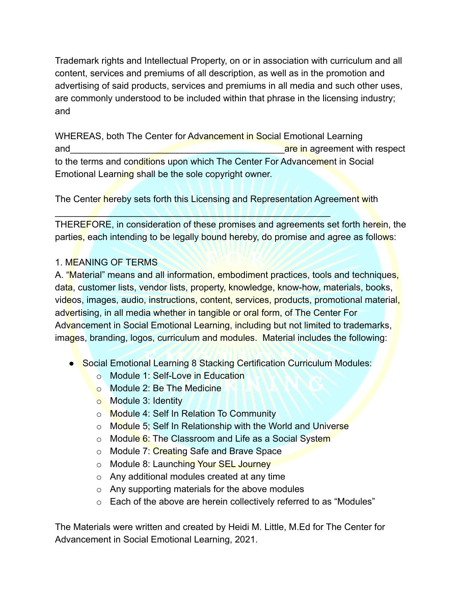Trademark rights and Intellectual Property, on or in association with curriculum and all content, services and premiums of all description, as well as in the promotion and advertising of said products, services and premiums in all media and such other uses, are commonly understood to be included within that phrase in the licensing industry; and

WHEREAS, both The Center for Advancement in Social Emotional Learning and and the contract of the contract of the contract of the contract of the contract of the contract of the contract of the contract of the contract of the contract of the contract of the contract of the contract of the co to the terms and conditions upon which The Center For Advancement in Social Emotional Learning shall be the sole copyright owner.

The Center hereby sets forth this Licensing and Representation Agreement with

 $\blacksquare$ 

THEREFORE, in consideration of these promises and agreements set forth herein, the parties, each intending to be legally bound hereby, do promise and agree as follows:

# 1. MEANING OF TERMS

A. "Material" means and all information, embodiment practices, tools and techniques, data, customer lists, vendor lists, property, knowledge, know-how, materials, books, videos, images, audio, instructions, content, services, products, promotional material, advertising, in all media whether in tangible or oral form, of The Center For Advancement in Social Emotional Learning, including but not limited to trademarks, images, branding, logos, curriculum and modules. Material includes the following:

- Social Emotional Learning 8 Stacking Certification Curriculum Modules:
	- o Module 1: Self-Love in Education
	- o Module 2: Be The Medicine
	- o Module 3: Identity
	- o Module 4: Self In Relation To Community
	- o Module 5; Self In Relationship with the World and Universe
	- o Module 6: The Classroom and Life as a Social System
	- o Module 7: Creating Safe and Brave Space
	- o Module 8: Launching Your SEL Journey
	- o Any additional modules created at any time
	- o Any supporting materials for the above modules
	- o Each of the above are herein collectively referred to as "Modules"

The Materials were written and created by Heidi M. Little, M.Ed for The Center for Advancement in Social Emotional Learning, 2021.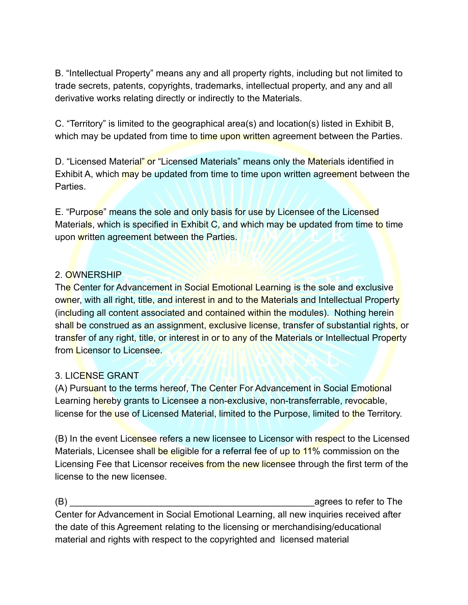B. "Intellectual Property" means any and all property rights, including but not limited to trade secrets, patents, copyrights, trademarks, intellectual property, and any and all derivative works relating directly or indirectly to the Materials.

C. "Territory" is limited to the geographical area(s) and location(s) listed in Exhibit B, which may be updated from time to time upon written agreement between the Parties.

D. "Licensed Material" or "Licensed Materials" means only the Materials identified in Exhibit A, which may be updated from time to time upon written agreement between the **Parties** 

E. "Purpose" means the sole and only basis for use by Licensee of the Licensed Materials, which is specified in Exhibit C, and which may be updated from time to time upon written agreement between the Parties.

#### 2. OWNERSHIP

The Center for Advancement in Social Emotional Learning is the sole and exclusive owner, with all right, title, and interest in and to the Materials and Intellectual Property (including all content associated and contained within the modules). Nothing herein shall be construed as an assignment, exclusive license, transfer of substantial rights, or transfer of any right, title, or interest in or to any of the Materials or Intellectual Property from Licensor to Licensee.

#### 3. LICENSE GRANT

(A) Pursuant to the terms hereof, The Center For Advancement in Social Emotional Learning hereby grants to Licensee a non-exclusive, non-transferrable, revocable, license for the use of Licensed Material, limited to the Purpose, limited to the Territory.

(B) In the event Licensee refers a new licensee to Licensor with respect to the Licensed Materials, Licensee shall be eligible for a referral fee of up to 11% commission on the Licensing Fee that Licensor receives from the new licensee through the first term of the license to the new licensee.

(B)  $\Box$  agrees to refer to The Center for Advancement in Social Emotional Learning, all new inquiries received after the date of this Agreement relating to the licensing or merchandising/educational material and rights with respect to the copyrighted and licensed material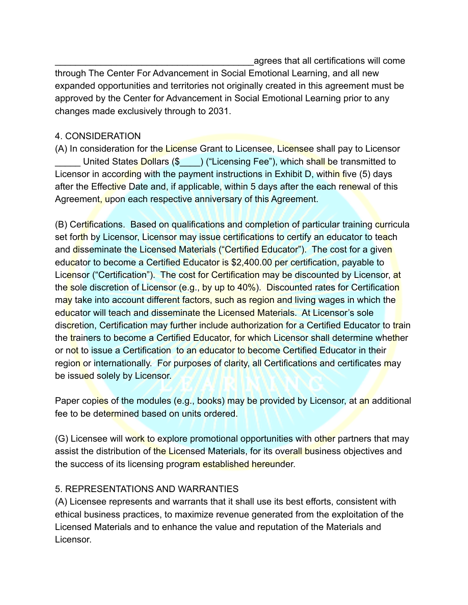\_\_\_\_\_\_\_\_\_\_\_\_\_\_\_\_\_\_\_\_\_\_\_\_\_\_\_\_\_\_\_\_\_\_\_\_\_\_\_agrees that all certifications will come

through The Center For Advancement in Social Emotional Learning, and all new expanded opportunities and territories not originally created in this agreement must be approved by the Center for Advancement in Social Emotional Learning prior to any changes made exclusively through to 2031.

## 4. CONSIDERATION

(A) In consideration for the License Grant to Licensee, Licensee shall pay to Licensor United States Dollars (\$) ("Licensing Fee"), which shall be transmitted to Licensor in according with the payment instructions in Exhibit D, within five (5) days after the Effective Date and, if applicable, within 5 days after the each renewal of this Agreement, upon each respective anniversary of this Agreement.

(B) Certifications. Based on qualifications and completion of particular training curricula set forth by Licensor, Licensor may issue certifications to certify an educator to teach and disseminate the Licensed Materials ("Certified Educator"). The cost for a given educator to become a Certified Educator is \$2,400.00 per certification, payable to Licensor ("Certification"). The cost for Certification may be discounted by Licensor, at the sole discretion of Licensor (e.g., by up to 40%). Discounted rates for Certification may take into account different factors, such as region and living wages in which the educator will teach and disseminate the Licensed Materials. At Licensor's sole discretion, Certification may further include authorization for a Certified Educator to train the trainers to become a Certified Educator, for which Licensor shall determine whether or not to issue a Certification to an educator to become Certified Educator in their region or internationally. For purposes of clarity, all Certifications and certificates may be issued solely by Licensor.

Paper copies of the modules (e.g., books) may be provided by Licensor, at an additional fee to be determined based on units ordered.

(G) Licensee will work to explore promotional opportunities with other partners that may assist the distribution of the Licensed Materials, for its overall business objectives and the success of its licensing program established hereunder.

# 5. REPRESENTATIONS AND WARRANTIES

(A) Licensee represents and warrants that it shall use its best efforts, consistent with ethical business practices, to maximize revenue generated from the exploitation of the Licensed Materials and to enhance the value and reputation of the Materials and Licensor.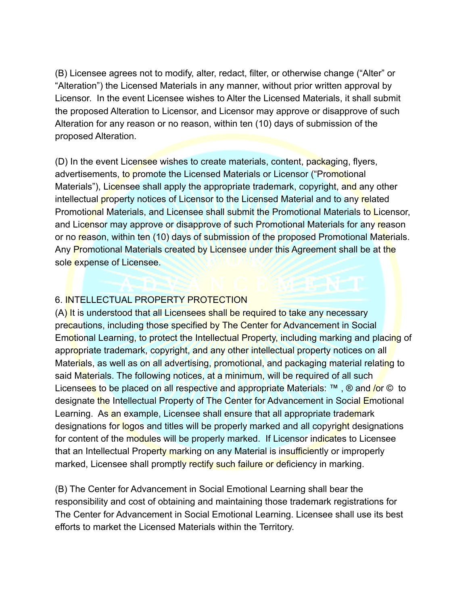(B) Licensee agrees not to modify, alter, redact, filter, or otherwise change ("Alter" or "Alteration") the Licensed Materials in any manner, without prior written approval by Licensor. In the event Licensee wishes to Alter the Licensed Materials, it shall submit the proposed Alteration to Licensor, and Licensor may approve or disapprove of such Alteration for any reason or no reason, within ten (10) days of submission of the proposed Alteration.

(D) In the event Licensee wishes to create materials, content, packaging, flyers, advertisements, to promote the Licensed Materials or Licensor ("Promotional Materials"), Licensee shall apply the appropriate trademark, copyright, and any other intellectual property notices of Licensor to the Licensed Material and to any related Promotional Materials, and Licensee shall submit the Promotional Materials to Licensor, and Licensor may approve or disapprove of such Promotional Materials for any reason or no reason, within ten (10) days of submission of the proposed Promotional Materials. Any Promotional Materials created by Licensee under this Agreement shall be at the sole expense of Licensee.

#### 6. INTELLECTUAL PROPERTY PROTECTION

 $(A)$  It is understood that all Licensees shall be required to take any necessary precautions, including those specified by The Center for Advancement in Social Emotional Learning, to protect the Intellectual Property, including marking and placing of appropriate trademark, copyright, and any other intellectual property notices on all Materials, as well as on all advertising, promotional, and packaging material relating to said Materials. The following notices, at a minimum, will be required of all such Licensees to be placed on all respective and appropriate Materials: ™, ® and /or © to designate the Intellectual Property of The Center for Advancement in Social Emotional Learning. As an example, Licensee shall ensure that all appropriate trademark designations for logos and titles will be properly marked and all copyright designations for content of the modules will be properly marked. If Licensor indicates to Licensee that an Intellectual Property marking on any Material is insufficiently or improperly marked, Licensee shall promptly rectify such failure or deficiency in marking.

(B) The Center for Advancement in Social Emotional Learning shall bear the responsibility and cost of obtaining and maintaining those trademark registrations for The Center for Advancement in Social Emotional Learning. Licensee shall use its best efforts to market the Licensed Materials within the Territory.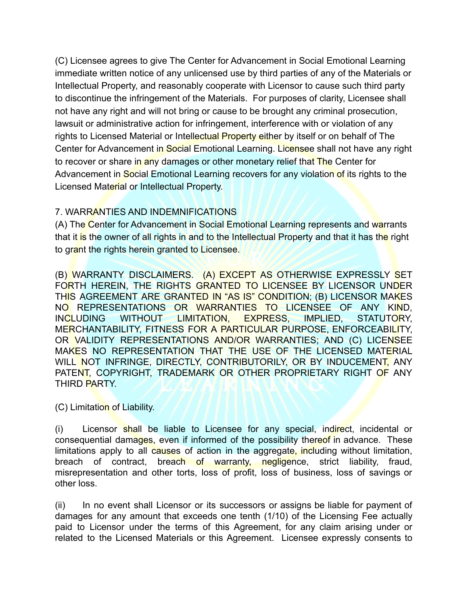(C) Licensee agrees to give The Center for Advancement in Social Emotional Learning immediate written notice of any unlicensed use by third parties of any of the Materials or Intellectual Property, and reasonably cooperate with Licensor to cause such third party to discontinue the infringement of the Materials. For purposes of clarity, Licensee shall not have any right and will not bring or cause to be brought any criminal prosecution, lawsuit or administrative action for infringement, interference with or violation of any rights to Licensed Material or Intellectual Property either by itself or on behalf of The Center for Advancement in Social Emotional Learning. Licensee shall not have any right to recover or share in any damages or other monetary relief that The Center for Advancement in Social Emotional Learning recovers for any violation of its rights to the Licensed Material or Intellectual Property.

## 7. WARRANTIES AND INDEMNIFICATIONS

(A) The Center for Advancement in Social Emotional Learning represents and warrants that it is the owner of all rights in and to the Intellectual Property and that it has the right to grant the rights herein granted to Licensee.

(B) WARRANTY DISCLAIMERS. (A) EXCEPT AS OTHERWISE EXPRESSLY SET FORTH HEREIN, THE RIGHTS GRANTED TO LICENSEE BY LICENSOR UNDER THIS AGREEMENT ARE GRANTED IN "AS IS" CONDITION; (B) LICENSOR MAKES NO REPRESENTATIONS OR WARRANTIES TO LICENSEE OF ANY KIND, INCLUDING WITHOUT LIMITATION, EXPRESS, IMPLIED, STATUTORY, MERCHANTABILITY, FITNESS FOR A PARTICULAR PURPOSE, ENFORCEABILITY, OR VALIDITY REPRESENTATIONS AND/OR WARRANTIES; AND (C) LICENSEE MAKES NO REPRESENTATION THAT THE USE OF THE LICENSED MATERIAL WILL NOT INFRINGE, DIRECTLY, CONTRIBUTORILY, OR BY INDUCEMENT, ANY PATENT, COPYRIGHT, TRADEMARK OR OTHER PROPRIETARY RIGHT OF ANY THIRD PARTY.

(C) Limitation of Liability.

(i) Licensor shall be liable to Licensee for any special, indirect, incidental or consequential damages, even if informed of the possibility thereof in advance. These limitations apply to all causes of action in the aggregate, including without limitation, breach of contract, breach of warranty, negligence, strict liability, fraud, misrepresentation and other torts, loss of profit, loss of business, loss of savings or other loss.

(ii) In no event shall Licensor or its successors or assigns be liable for payment of damages for any amount that exceeds one tenth (1/10) of the Licensing Fee actually paid to Licensor under the terms of this Agreement, for any claim arising under or related to the Licensed Materials or this Agreement. Licensee expressly consents to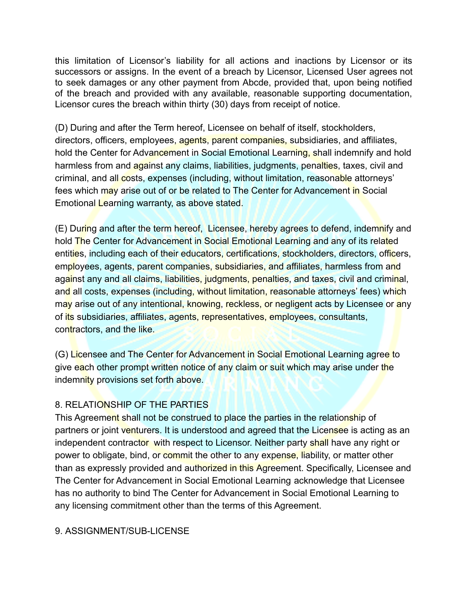this limitation of Licensor's liability for all actions and inactions by Licensor or its successors or assigns. In the event of a breach by Licensor, Licensed User agrees not to seek damages or any other payment from Abcde, provided that, upon being notified of the breach and provided with any available, reasonable supporting documentation, Licensor cures the breach within thirty (30) days from receipt of notice.

(D) During and after the Term hereof, Licensee on behalf of itself, stockholders, directors, officers, employees, agents, parent companies, subsidiaries, and affiliates, hold the Center for Advancement in Social Emotional Learning, shall indemnify and hold harmless from and against any claims, liabilities, judgments, penalties, taxes, civil and criminal, and all costs, expenses (including, without limitation, reasonable attorneys' fees which may arise out of or be related to The Center for Advancement in Social Emotional Learning warranty, as above stated.

(E) During and after the term hereof, Licensee, hereby agrees to defend, indemnify and hold The Center for Advancement in Social Emotional Learning and any of its related entities, including each of their educators, certifications, stockholders, directors, officers, employees, agents, parent companies, subsidiaries, and affiliates, harmless from and against any and all claims, liabilities, judgments, penalties, and taxes, civil and criminal, and all costs, expenses (including, without limitation, reasonable attorneys' fees) which may arise out of any intentional, knowing, reckless, or negligent acts by Licensee or any of its subsidiaries, affiliates, agents, representatives, employees, consultants, contractors, and the like.

(G) Licensee and The Center for Advancement in Social Emotional Learning agree to give each other prompt written notice of any claim or suit which may arise under the indemnity provisions set forth above.

# 8. RELATIONSHIP OF THE PARTIES

This Agreement shall not be construed to place the parties in the relationship of partners or joint venturers. It is understood and agreed that the Licensee is acting as an independent contractor with respect to Licensor. Neither party shall have any right or power to obligate, bind, or commit the other to any expense, liability, or matter other than as expressly provided and authorized in this Agreement. Specifically, Licensee and The Center for Advancement in Social Emotional Learning acknowledge that Licensee has no authority to bind The Center for Advancement in Social Emotional Learning to any licensing commitment other than the terms of this Agreement.

# 9. ASSIGNMENT/SUB-LICENSE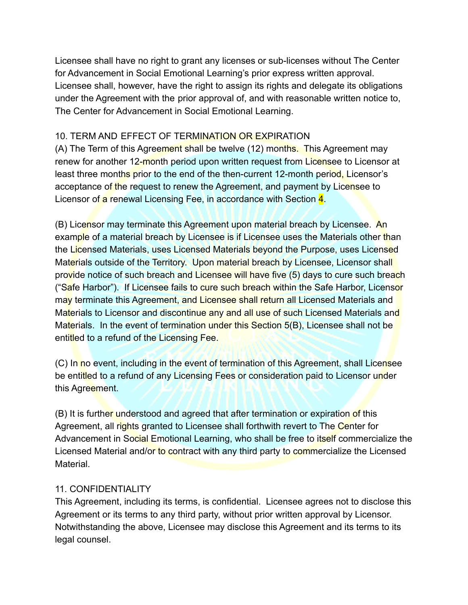Licensee shall have no right to grant any licenses or sub-licenses without The Center for Advancement in Social Emotional Learning's prior express written approval. Licensee shall, however, have the right to assign its rights and delegate its obligations under the Agreement with the prior approval of, and with reasonable written notice to, The Center for Advancement in Social Emotional Learning.

#### 10. TERM AND EFFECT OF TERMINATION OR EXPIRATION

(A) The Term of this Agreement shall be twelve (12) months. This Agreement may renew for another 12-month period upon written request from Licensee to Licensor at least three months prior to the end of the then-current 12-month period, Licensor's acceptance of the request to renew the Agreement, and payment by Licensee to Licensor of a renewal Licensing Fee, in accordance with Section 4.

(B) Licensor may terminate this Agreement upon material breach by Licensee. An example of a material breach by Licensee is if Licensee uses the Materials other than the Licensed Materials, uses Licensed Materials beyond the Purpose, uses Licensed Materials outside of the Territory. Upon material breach by Licensee, Licensor shall provide notice of such breach and Licensee will have five (5) days to cure such breach ("Safe Harbor"). If Licensee fails to cure such breach within the Safe Harbor, Licensor may terminate this Agreement, and Licensee shall return all Licensed Materials and Materials to Licensor and discontinue any and all use of such Licensed Materials and Materials. In the event of termination under this Section 5(B), Licensee shall not be entitled to a refund of the Licensing Fee.

(C) In no event, including in the event of termination of this Agreement, shall Licensee be entitled to a refund of any Licensing Fees or consideration paid to Licensor under this Agreement.

(B) It is further understood and agreed that after termination or expiration of this Agreement, all rights granted to Licensee shall forthwith revert to The Center for Advancement in Social Emotional Learning, who shall be free to itself commercialize the Licensed Material and/or to contract with any third party to commercialize the Licensed Material.

#### 11. CONFIDENTIALITY

This Agreement, including its terms, is confidential. Licensee agrees not to disclose this Agreement or its terms to any third party, without prior written approval by Licensor. Notwithstanding the above, Licensee may disclose this Agreement and its terms to its legal counsel.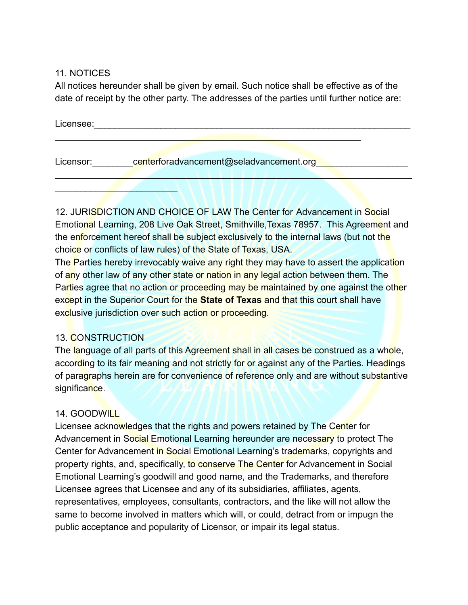11. NOTICES

All notices hereunder shall be given by email. Such notice shall be effective as of the date of receipt by the other party. The addresses of the parties until further notice are:

| Licensee: |                                         |
|-----------|-----------------------------------------|
| Licensor: | centerforadvancement@seladvancement.org |
|           |                                         |

12. JURISDICTION AND CHOICE OF LAW The Center for Advancement in Social Emotional Learning, 208 Live Oak Street, Smithville,Texas 78957. This Agreement and the enforcement hereof shall be subject exclusively to the internal laws (but not the choice or conflicts of law rules) of the State of Texas, USA.

The Parties hereby irrevocably waive any right they may have to assert the application of any other law of any other state or nation in any legal action between them. The Parties agree that no action or proceeding may be maintained by one against the other except in the Superior Court for the **State of Texas** and that this court shall have exclusive jurisdiction over such action or proceeding.

#### 13. CONSTRUCTION

The language of all parts of this Agreement shall in all cases be construed as a whole, according to its fair meaning and not strictly for or against any of the Parties. Headings of paragraphs herein are for convenience of reference only and are without substantive significance.

# 14. GOODWILL

Licensee acknowledges that the rights and powers retained by The Center for Advancement in Social Emotional Learning hereunder are necessary to protect The Center for Advancement in Social Emotional Learning's trademarks, copyrights and property rights, and, specifically, to conserve The Center for Advancement in Social Emotional Learning's goodwill and good name, and the Trademarks, and therefore Licensee agrees that Licensee and any of its subsidiaries, affiliates, agents, representatives, employees, consultants, contractors, and the like will not allow the same to become involved in matters which will, or could, detract from or impugn the public acceptance and popularity of Licensor, or impair its legal status.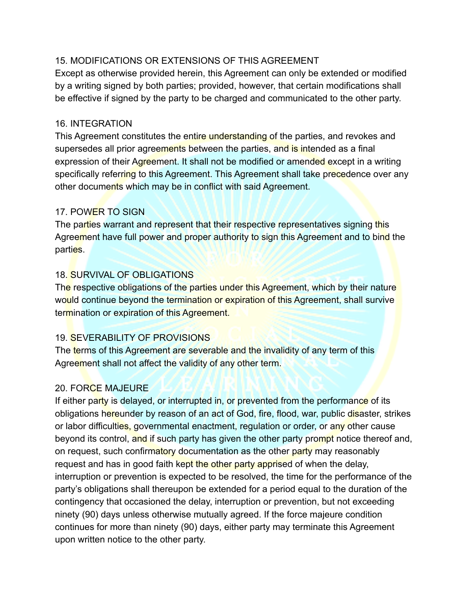## 15. MODIFICATIONS OR EXTENSIONS OF THIS AGREEMENT

Except as otherwise provided herein, this Agreement can only be extended or modified by a writing signed by both parties; provided, however, that certain modifications shall be effective if signed by the party to be charged and communicated to the other party.

#### 16. INTEGRATION

This Agreement constitutes the entire understanding of the parties, and revokes and supersedes all prior agreements between the parties, and is intended as a final expression of their Agreement. It shall not be modified or amended except in a writing specifically referring to this Agreement. This Agreement shall take precedence over any other documents which may be in conflict with said Agreement.

## 17. POWER TO SIGN

The parties warrant and represent that their respective representatives signing this Agreement have full power and proper authority to sign this Agreement and to bind the parties.

## 18. SURVIVAL OF OBLIGATIONS

The respective obligations of the parties under this Agreement, which by their nature would continue beyond the termination or expiration of this Agreement, shall survive termination or expiration of this Agreement.

# 19. SEVERABILITY OF PROVISIONS

The terms of this Agreement are severable and the invalidity of any term of this Agreement shall not affect the validity of any other term.

# 20. FORCE MAJEURE

If either party is delayed, or interrupted in, or prevented from the performance of its obligations hereunder by reason of an act of God, fire, flood, war, public disaster, strikes or labor difficulties, governmental enactment, regulation or order, or any other cause beyond its control, and if such party has given the other party prompt notice thereof and, on request, such confirmatory documentation as the other party may reasonably request and has in good faith kept the other party apprised of when the delay. interruption or prevention is expected to be resolved, the time for the performance of the party's obligations shall thereupon be extended for a period equal to the duration of the contingency that occasioned the delay, interruption or prevention, but not exceeding ninety (90) days unless otherwise mutually agreed. If the force majeure condition continues for more than ninety (90) days, either party may terminate this Agreement upon written notice to the other party.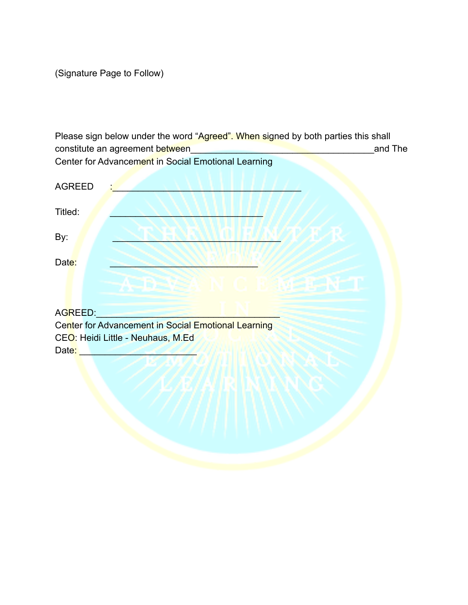(Signature Page to Follow)

Please sign below under the word "Agreed". When signed by both parties this shall constitute an agreement between\_\_\_\_\_\_\_\_\_\_\_\_\_\_\_\_\_\_\_\_\_\_\_\_\_\_\_\_\_\_\_\_\_\_\_\_and The Center for Advancement in Social Emotional Learning

| <b>AGREED</b>                                       |
|-----------------------------------------------------|
| Titled:                                             |
| By:                                                 |
| Date:                                               |
| AN CIPAMERANT                                       |
| AGREED:                                             |
| Center for Advancement in Social Emotional Learning |
| CEO: Heidi Little - Neuhaus, M.Ed                   |
| Date:                                               |
|                                                     |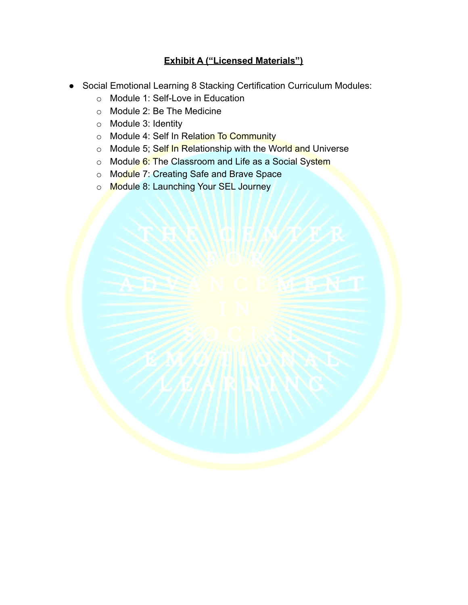# **Exhibit A ("Licensed Materials")**

- Social Emotional Learning 8 Stacking Certification Curriculum Modules:
	- o Module 1: Self-Love in Education
	- o Module 2: Be The Medicine
	- o Module 3: Identity
	- o Module 4: Self In Relation To Community
	- o Module 5; Self In Relationship with the World and Universe
	- o Module 6: The Classroom and Life as a Social System
	- o Module 7: Creating Safe and Brave Space
	- o Module 8: Launching Your SEL Journey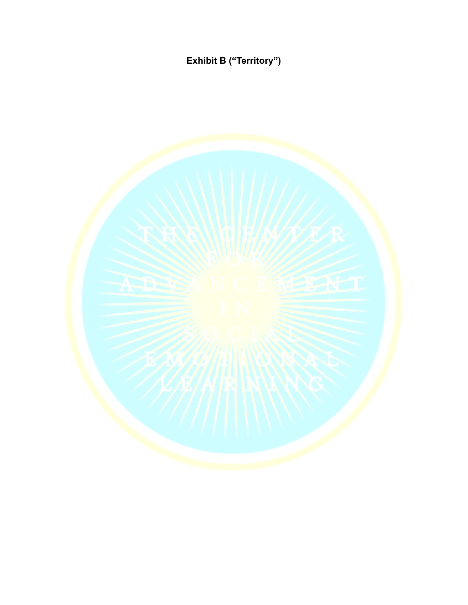**Exhibit B ("Territory")**

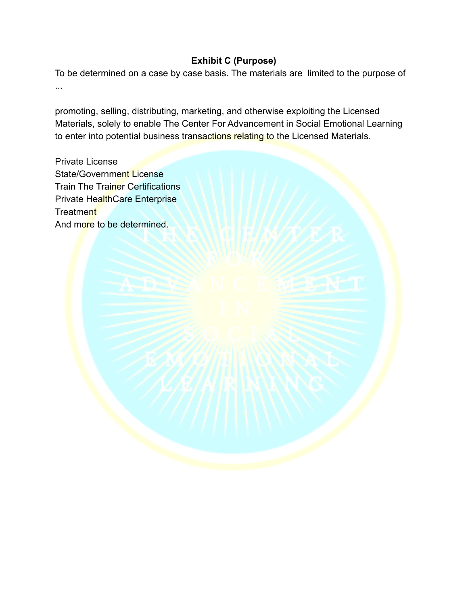## **Exhibit C (Purpose)**

To be determined on a case by case basis. The materials are limited to the purpose of ...

promoting, selling, distributing, marketing, and otherwise exploiting the Licensed Materials, solely to enable The Center For Advancement in Social Emotional Learning to enter into potential business transactions relating to the Licensed Materials.

Private License State/Government License **Train The Trainer Certifications** Private HealthCare Enterprise **Treatment** And more to be determined.